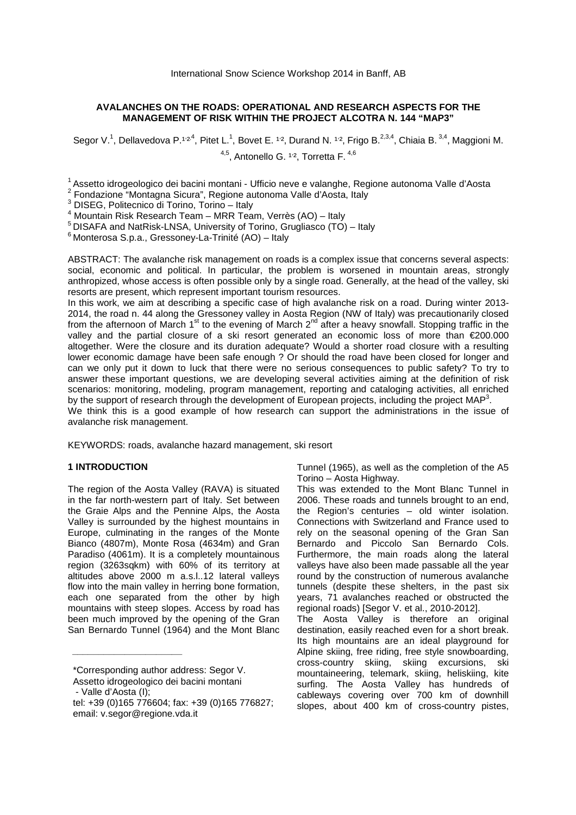# **AVALANCHES ON THE ROADS: OPERATIONAL AND RESEARCH ASPECTS FOR THE MANAGEMENT OF RISK WITHIN THE PROJECT ALCOTRA N. 144 "MAP3"**

Segor V.<sup>1</sup>, Dellavedova P.<sup>1,24</sup>, Pitet L.<sup>1</sup>, Bovet E. <sup>1,2</sup>, Durand N. <sup>1,2</sup>, Frigo B.<sup>2,3,4</sup>, Chiaia B. <sup>3,4</sup>, Maggioni M.  $4.5$ , Antonello G.  $1.2$ , Torretta F.  $4.6$ 

<sup>1</sup> Assetto idrogeologico dei bacini montani - Ufficio neve e valanghe, Regione autonoma Valle d'Aosta

2 Fondazione "Montagna Sicura", Regione autonoma Valle d'Aosta, Italy

3 DISEG, Politecnico di Torino, Torino – Italy

4 Mountain Risk Research Team – MRR Team, Verrès (AO) – Italy

<sup>5</sup> DISAFA and NatRisk-LNSA, University of Torino, Grugliasco (TO) – Italy

 $6$  Monterosa S.p.a., Gressoney-La-Trinité (AO) – Italy

ABSTRACT: The avalanche risk management on roads is a complex issue that concerns several aspects: social, economic and political. In particular, the problem is worsened in mountain areas, strongly anthropized, whose access is often possible only by a single road. Generally, at the head of the valley, ski resorts are present, which represent important tourism resources.

In this work, we aim at describing a specific case of high avalanche risk on a road. During winter 2013- 2014, the road n. 44 along the Gressoney valley in Aosta Region (NW of Italy) was precautionarily closed from the afternoon of March 1<sup>st</sup> to the evening of March 2<sup>nd</sup> after a heavy snowfall. Stopping traffic in the valley and the partial closure of a ski resort generated an economic loss of more than €200.000 altogether. Were the closure and its duration adequate? Would a shorter road closure with a resulting lower economic damage have been safe enough ? Or should the road have been closed for longer and can we only put it down to luck that there were no serious consequences to public safety? To try to answer these important questions, we are developing several activities aiming at the definition of risk scenarios: monitoring, modeling, program management, reporting and cataloging activities, all enriched by the support of research through the development of European projects, including the project MAP<sup>3</sup>.

We think this is a good example of how research can support the administrations in the issue of avalanche risk management.

KEYWORDS: roads, avalanche hazard management, ski resort

### **1 INTRODUCTION**

The region of the Aosta Valley (RAVA) is situated in the far north-western part of Italy. Set between the Graie Alps and the Pennine Alps, the Aosta Valley is surrounded by the highest mountains in Europe, culminating in the ranges of the Monte Bianco (4807m), Monte Rosa (4634m) and Gran Paradiso (4061m). It is a completely mountainous region (3263sqkm) with 60% of its territory at altitudes above 2000 m a.s.l..12 lateral valleys flow into the main valley in herring bone formation, each one separated from the other by high mountains with steep slopes. Access by road has been much improved by the opening of the Gran San Bernardo Tunnel (1964) and the Mont Blanc

\_\_\_\_\_\_\_\_\_\_\_\_\_\_\_\_\_\_\_\_\_

Tunnel (1965), as well as the completion of the A5 Torino – Aosta Highway.

This was extended to the Mont Blanc Tunnel in 2006. These roads and tunnels brought to an end, the Region's centuries – old winter isolation. Connections with Switzerland and France used to rely on the seasonal opening of the Gran San Bernardo and Piccolo San Bernardo Cols. Furthermore, the main roads along the lateral valleys have also been made passable all the year round by the construction of numerous avalanche tunnels (despite these shelters, in the past six years, 71 avalanches reached or obstructed the regional roads) [Segor V. et al., 2010-2012].

The Aosta Valley is therefore an original destination, easily reached even for a short break. Its high mountains are an ideal playground for Alpine skiing, free riding, free style snowboarding, cross-country skiing, skiing excursions, ski mountaineering, telemark, skiing, heliskiing, kite surfing. The Aosta Valley has hundreds of cableways covering over 700 km of downhill slopes, about 400 km of cross-country pistes,

<sup>\*</sup>Corresponding author address: Segor V.

Assetto idrogeologico dei bacini montani

 <sup>-</sup> Valle d'Aosta (I);

tel: +39 (0)165 776604; fax: +39 (0)165 776827; email: v.segor@regione.vda.it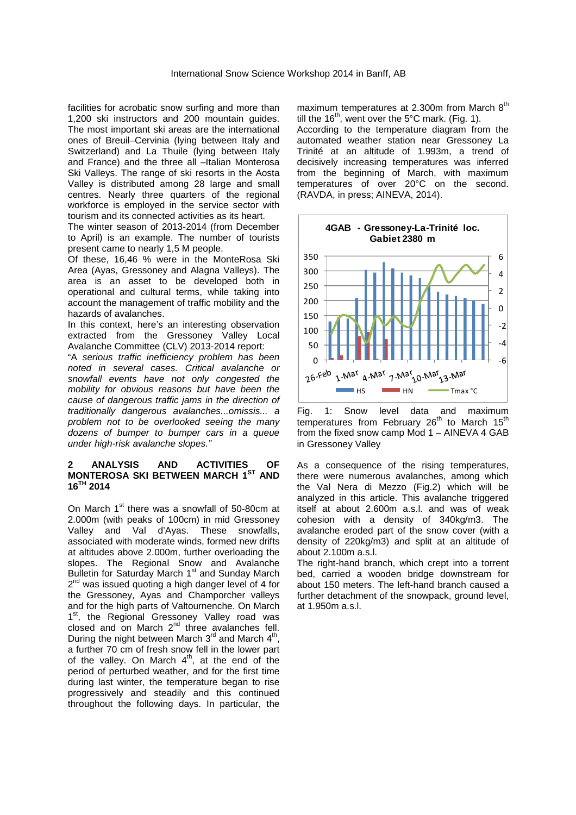facilities for acrobatic snow surfing and more than 1,200 ski instructors and 200 mountain guides. The most important ski areas are the international ones of Breuil–Cervinia (lying between Italy and Switzerland) and La Thuile (lying between Italy and France) and the three all –Italian Monterosa Ski Valleys. The range of ski resorts in the Aosta Valley is distributed among 28 large and small centres. Nearly three quarters of the regional workforce is employed in the service sector with tourism and its connected activities as its heart.

The winter season of 2013-2014 (from December to April) is an example. The number of tourists present came to nearly 1,5 M people.

Of these, 16,46 % were in the MonteRosa Ski Area (Ayas, Gressoney and Alagna Valleys). The area is an asset to be developed both in operational and cultural terms, while taking into account the management of traffic mobility and the hazards of avalanches.

In this context, here's an interesting observation extracted from the Gressoney Valley Local Avalanche Committee (CLV) 2013-2014 report:

"A serious traffic inefficiency problem has been noted in several cases. Critical avalanche or snowfall events have not only congested the mobility for obvious reasons but have been the cause of dangerous traffic jams in the direction of traditionally dangerous avalanches...omissis... a problem not to be overlooked seeing the many dozens of bumper to bumper cars in a queue under high-risk avalanche slopes."

### **2 ANALYSIS AND ACTIVITIES OF MONTEROSA SKI BETWEEN MARCH 1ST AND**   $16^{TH}$  2014

On March 1<sup>st</sup> there was a snowfall of 50-80cm at 2.000m (with peaks of 100cm) in mid Gressoney Valley and Val d'Ayas. These snowfalls, associated with moderate winds, formed new drifts at altitudes above 2.000m, further overloading the slopes. The Regional Snow and Avalanche Bulletin for Saturday March 1<sup>st</sup> and Sunday March 2<sup>nd</sup> was issued quoting a high danger level of 4 for the Gressoney, Ayas and Champorcher valleys and for the high parts of Valtournenche. On March 1<sup>st</sup>, the Regional Gressoney Valley road was closed and on March  $2<sup>nd</sup>$  three avalanches fell. During the night between March  $3^{rd}$  and March  $4^{th}$ , a further 70 cm of fresh snow fell in the lower part of the valley. On March  $4<sup>th</sup>$ , at the end of the period of perturbed weather, and for the first time during last winter, the temperature began to rise progressively and steadily and this continued throughout the following days. In particular, the

maximum temperatures at 2.300m from March  $8<sup>th</sup>$ till the  $16<sup>th</sup>$ , went over the 5°C mark. (Fig. 1). According to the temperature diagram from the automated weather station near Gressoney La Trinité at an altitude of 1.993m, a trend of decisively increasing temperatures was inferred from the beginning of March, with maximum temperatures of over 20°C on the second. (RAVDA, in press; AINEVA, 2014).





As a consequence of the rising temperatures, there were numerous avalanches, among which the Val Nera di Mezzo (Fig.2) which will be analyzed in this article. This avalanche triggered itself at about 2.600m a.s.l. and was of weak cohesion with a density of 340kg/m3. The avalanche eroded part of the snow cover (with a density of 220kg/m3) and split at an altitude of about 2.100m a.s.l.

The right-hand branch, which crept into a torrent bed, carried a wooden bridge downstream for about 150 meters. The left-hand branch caused a further detachment of the snowpack, ground level, at 1.950m a.s.l.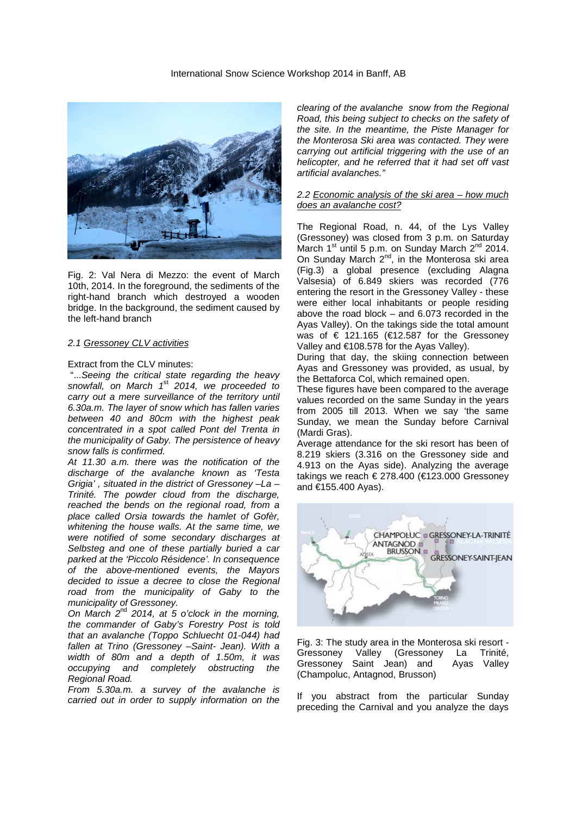

Fig. 2: Val Nera di Mezzo: the event of March 10th, 2014. In the foreground, the sediments of the right-hand branch which destroyed a wooden bridge. In the background, the sediment caused by the left-hand branch

#### 2.1 Gressoney CLV activities

### Extract from the CLV minutes:

 "...Seeing the critical state regarding the heavy snowfall, on March 1<sup>st</sup> 2014, we proceeded to carry out a mere surveillance of the territory until 6.30a.m. The layer of snow which has fallen varies between 40 and 80cm with the highest peak concentrated in a spot called Pont del Trenta in the municipality of Gaby. The persistence of heavy snow falls is confirmed.

At 11.30 a.m. there was the notification of the discharge of the avalanche known as 'Testa Grigia' , situated in the district of Gressoney –La – Trinité. The powder cloud from the discharge, reached the bends on the regional road, from a place called Orsia towards the hamlet of Gofèr, whitening the house walls. At the same time, we were notified of some secondary discharges at Selbsteg and one of these partially buried a car parked at the 'Piccolo Résidence'. In consequence of the above-mentioned events, the Mayors decided to issue a decree to close the Regional road from the municipality of Gaby to the municipality of Gressoney.

On March  $2^{nd}$  2014, at 5 o'clock in the morning, the commander of Gaby's Forestry Post is told that an avalanche (Toppo Schluecht 01-044) had fallen at Trino (Gressoney –Saint- Jean). With a width of 80m and a depth of 1.50m, it was occupying and completely obstructing the Regional Road.

From 5.30a.m. a survey of the avalanche is carried out in order to supply information on the clearing of the avalanche snow from the Regional Road, this being subject to checks on the safety of the site. In the meantime, the Piste Manager for the Monterosa Ski area was contacted. They were carrying out artificial triggering with the use of an helicopter, and he referred that it had set off vast artificial avalanches."

#### 2.2 Economic analysis of the ski area – how much does an avalanche cost?

The Regional Road, n. 44, of the Lys Valley (Gressoney) was closed from 3 p.m. on Saturday March  $1^{\text{st}}$  until 5 p.m. on Sunday March  $2^{\text{nd}}$  2014. On Sunday March 2<sup>nd</sup>, in the Monterosa ski area (Fig.3) a global presence (excluding Alagna Valsesia) of 6.849 skiers was recorded (776 entering the resort in the Gressoney Valley - these were either local inhabitants or people residing above the road block – and 6.073 recorded in the Ayas Valley). On the takings side the total amount was of  $\epsilon$  121.165 ( $\epsilon$ 12.587 for the Gressoney Valley and €108.578 for the Ayas Valley).

During that day, the skiing connection between Ayas and Gressoney was provided, as usual, by the Bettaforca Col, which remained open.

These figures have been compared to the average values recorded on the same Sunday in the years from 2005 till 2013. When we say 'the same Sunday, we mean the Sunday before Carnival (Mardi Gras).

Average attendance for the ski resort has been of 8.219 skiers (3.316 on the Gressoney side and 4.913 on the Ayas side). Analyzing the average takings we reach € 278.400 (€123.000 Gressoney and €155.400 Ayas).



Fig. 3: The study area in the Monterosa ski resort - Gressoney Valley (Gressoney La Trinité,<br>Gressoney Saint Jean) and Avas Vallev Gressoney Saint Jean) and (Champoluc, Antagnod, Brusson)

If you abstract from the particular Sunday preceding the Carnival and you analyze the days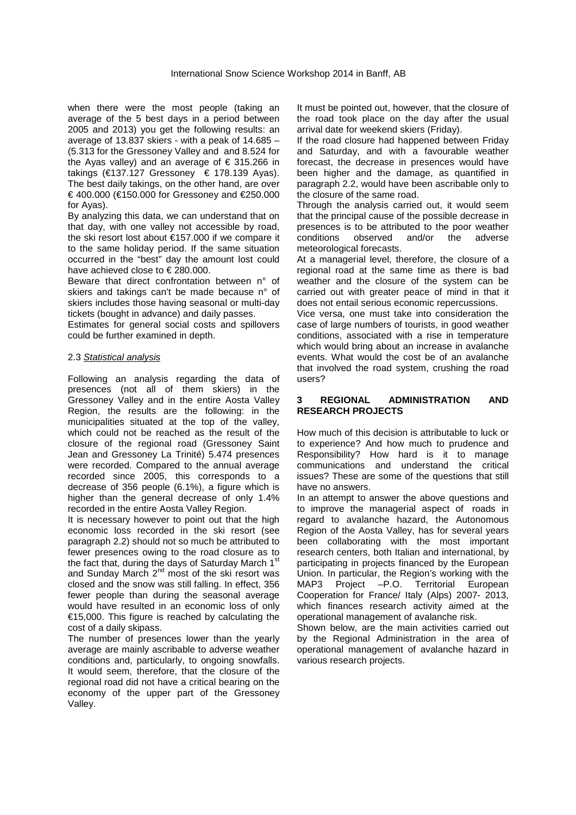when there were the most people (taking an average of the 5 best days in a period between 2005 and 2013) you get the following results: an average of 13.837 skiers - with a peak of 14.685 – (5.313 for the Gressoney Valley and and 8.524 for the Ayas valley) and an average of  $\epsilon$  315.266 in takings (€137.127 Gressoney € 178.139 Ayas). The best daily takings, on the other hand, are over € 400.000 (€150.000 for Gressoney and €250.000 for Ayas).

By analyzing this data, we can understand that on that day, with one valley not accessible by road, the ski resort lost about €157.000 if we compare it to the same holiday period. If the same situation occurred in the "best" day the amount lost could have achieved close to  $\in$  280.000.

Beware that direct confrontation between n° of skiers and takings can't be made because n° of skiers includes those having seasonal or multi-day tickets (bought in advance) and daily passes.

Estimates for general social costs and spillovers could be further examined in depth.

### 2.3 Statistical analysis

Following an analysis regarding the data of presences (not all of them skiers) in the Gressoney Valley and in the entire Aosta Valley Region, the results are the following: in the municipalities situated at the top of the valley, which could not be reached as the result of the closure of the regional road (Gressoney Saint Jean and Gressoney La Trinité) 5.474 presences were recorded. Compared to the annual average recorded since 2005, this corresponds to a decrease of 356 people (6.1%), a figure which is higher than the general decrease of only 1.4% recorded in the entire Aosta Valley Region.

It is necessary however to point out that the high economic loss recorded in the ski resort (see paragraph 2.2) should not so much be attributed to fewer presences owing to the road closure as to the fact that, during the days of Saturday March 1<sup>st</sup> and Sunday March 2<sup>nd</sup> most of the ski resort was closed and the snow was still falling. In effect, 356 fewer people than during the seasonal average would have resulted in an economic loss of only €15,000. This figure is reached by calculating the cost of a daily skipass.

The number of presences lower than the yearly average are mainly ascribable to adverse weather conditions and, particularly, to ongoing snowfalls. It would seem, therefore, that the closure of the regional road did not have a critical bearing on the economy of the upper part of the Gressoney Valley.

It must be pointed out, however, that the closure of the road took place on the day after the usual arrival date for weekend skiers (Friday).

If the road closure had happened between Friday and Saturday, and with a favourable weather forecast, the decrease in presences would have been higher and the damage, as quantified in paragraph 2.2, would have been ascribable only to the closure of the same road.

Through the analysis carried out, it would seem that the principal cause of the possible decrease in presences is to be attributed to the poor weather conditions observed and/or the adverse meteorological forecasts.

At a managerial level, therefore, the closure of a regional road at the same time as there is bad weather and the closure of the system can be carried out with greater peace of mind in that it does not entail serious economic repercussions.

Vice versa, one must take into consideration the case of large numbers of tourists, in good weather conditions, associated with a rise in temperature which would bring about an increase in avalanche events. What would the cost be of an avalanche that involved the road system, crushing the road users?

# **3 REGIONAL ADMINISTRATION AND RESEARCH PROJECTS**

How much of this decision is attributable to luck or to experience? And how much to prudence and Responsibility? How hard is it to manage communications and understand the critical issues? These are some of the questions that still have no answers.

In an attempt to answer the above questions and to improve the managerial aspect of roads in regard to avalanche hazard, the Autonomous Region of the Aosta Valley, has for several years been collaborating with the most important research centers, both Italian and international, by participating in projects financed by the European Union. In particular, the Region's working with the MAP3 Project –P.O. Territorial European Cooperation for France/ Italy (Alps) 2007- 2013, which finances research activity aimed at the operational management of avalanche risk.

Shown below, are the main activities carried out by the Regional Administration in the area of operational management of avalanche hazard in various research projects.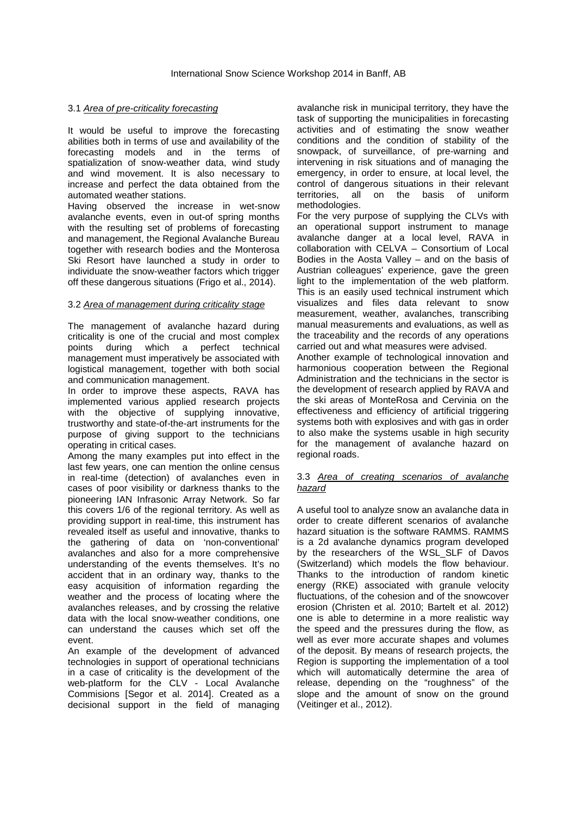## 3.1 Area of pre-criticality forecasting

It would be useful to improve the forecasting abilities both in terms of use and availability of the forecasting models and in the terms of spatialization of snow-weather data, wind study and wind movement. It is also necessary to increase and perfect the data obtained from the automated weather stations.

Having observed the increase in wet-snow avalanche events, even in out-of spring months with the resulting set of problems of forecasting and management, the Regional Avalanche Bureau together with research bodies and the Monterosa Ski Resort have launched a study in order to individuate the snow-weather factors which trigger off these dangerous situations (Frigo et al., 2014).

# 3.2 Area of management during criticality stage

The management of avalanche hazard during criticality is one of the crucial and most complex points during which a perfect technical management must imperatively be associated with logistical management, together with both social and communication management.

In order to improve these aspects, RAVA has implemented various applied research projects with the objective of supplying innovative, trustworthy and state-of-the-art instruments for the purpose of giving support to the technicians operating in critical cases.

Among the many examples put into effect in the last few years, one can mention the online census in real-time (detection) of avalanches even in cases of poor visibility or darkness thanks to the pioneering IAN Infrasonic Array Network. So far this covers 1/6 of the regional territory. As well as providing support in real-time, this instrument has revealed itself as useful and innovative, thanks to the gathering of data on 'non-conventional' avalanches and also for a more comprehensive understanding of the events themselves. It's no accident that in an ordinary way, thanks to the easy acquisition of information regarding the weather and the process of locating where the avalanches releases, and by crossing the relative data with the local snow-weather conditions, one can understand the causes which set off the event.

An example of the development of advanced technologies in support of operational technicians in a case of criticality is the development of the web-platform for the CLV - Local Avalanche Commisions [Segor et al. 2014]. Created as a decisional support in the field of managing

avalanche risk in municipal territory, they have the task of supporting the municipalities in forecasting activities and of estimating the snow weather conditions and the condition of stability of the snowpack, of surveillance, of pre-warning and intervening in risk situations and of managing the emergency, in order to ensure, at local level, the control of dangerous situations in their relevant territories, all on the basis of uniform methodologies.

For the very purpose of supplying the CLVs with an operational support instrument to manage avalanche danger at a local level, RAVA in collaboration with CELVA – Consortium of Local Bodies in the Aosta Valley – and on the basis of Austrian colleagues' experience, gave the green light to the implementation of the web platform. This is an easily used technical instrument which visualizes and files data relevant to snow measurement, weather, avalanches, transcribing manual measurements and evaluations, as well as the traceability and the records of any operations carried out and what measures were advised.

Another example of technological innovation and harmonious cooperation between the Regional Administration and the technicians in the sector is the development of research applied by RAVA and the ski areas of MonteRosa and Cervinia on the effectiveness and efficiency of artificial triggering systems both with explosives and with gas in order to also make the systems usable in high security for the management of avalanche hazard on regional roads.

# 3.3 Area of creating scenarios of avalanche hazard

A useful tool to analyze snow an avalanche data in order to create different scenarios of avalanche hazard situation is the software RAMMS. RAMMS is a 2d avalanche dynamics program developed by the researchers of the WSL\_SLF of Davos (Switzerland) which models the flow behaviour. Thanks to the introduction of random kinetic energy (RKE) associated with granule velocity fluctuations, of the cohesion and of the snowcover erosion (Christen et al. 2010; Bartelt et al. 2012) one is able to determine in a more realistic way the speed and the pressures during the flow, as well as ever more accurate shapes and volumes of the deposit. By means of research projects, the Region is supporting the implementation of a tool which will automatically determine the area of release, depending on the "roughness" of the slope and the amount of snow on the ground (Veitinger et al., 2012).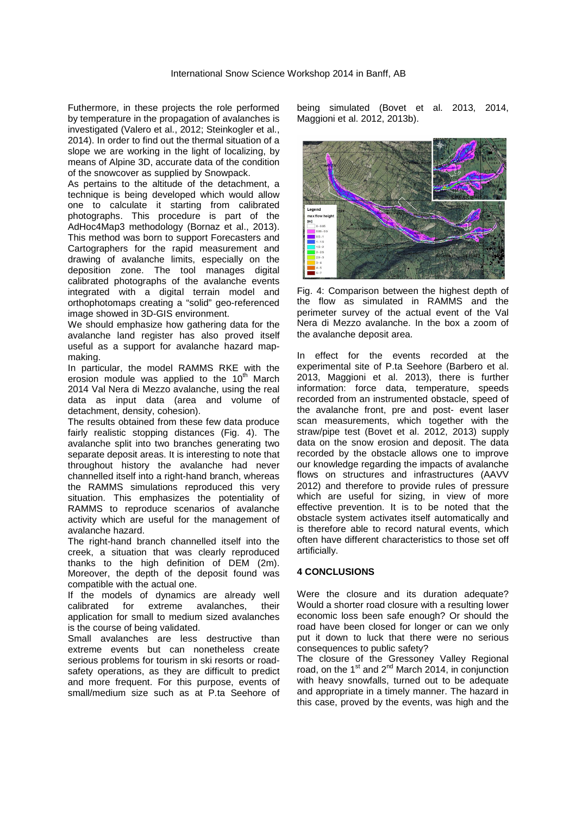Futhermore, in these projects the role performed by temperature in the propagation of avalanches is investigated (Valero et al., 2012; Steinkogler et al., 2014). In order to find out the thermal situation of a slope we are working in the light of localizing, by means of Alpine 3D, accurate data of the condition of the snowcover as supplied by Snowpack.

As pertains to the altitude of the detachment, a technique is being developed which would allow one to calculate it starting from calibrated photographs. This procedure is part of the AdHoc4Map3 methodology (Bornaz et al., 2013). This method was born to support Forecasters and Cartographers for the rapid measurement and drawing of avalanche limits, especially on the deposition zone. The tool manages digital calibrated photographs of the avalanche events integrated with a digital terrain model and orthophotomaps creating a "solid" geo-referenced image showed in 3D-GIS environment.

We should emphasize how gathering data for the avalanche land register has also proved itself useful as a support for avalanche hazard mapmaking.

In particular, the model RAMMS RKE with the erosion module was applied to the  $10<sup>th</sup>$  March 2014 Val Nera di Mezzo avalanche, using the real data as input data (area and volume of detachment, density, cohesion).

The results obtained from these few data produce fairly realistic stopping distances (Fig. 4). The avalanche split into two branches generating two separate deposit areas. It is interesting to note that throughout history the avalanche had never channelled itself into a right-hand branch, whereas the RAMMS simulations reproduced this very situation. This emphasizes the potentiality of RAMMS to reproduce scenarios of avalanche activity which are useful for the management of avalanche hazard.

The right-hand branch channelled itself into the creek, a situation that was clearly reproduced thanks to the high definition of DEM (2m). Moreover, the depth of the deposit found was compatible with the actual one.

If the models of dynamics are already well calibrated for extreme avalanches, their application for small to medium sized avalanches is the course of being validated.

Small avalanches are less destructive than extreme events but can nonetheless create serious problems for tourism in ski resorts or roadsafety operations, as they are difficult to predict and more frequent. For this purpose, events of small/medium size such as at P.ta Seehore of being simulated (Bovet et al. 2013, 2014, Maggioni et al. 2012, 2013b).



Fig. 4: Comparison between the highest depth of the flow as simulated in RAMMS and the perimeter survey of the actual event of the Val Nera di Mezzo avalanche. In the box a zoom of the avalanche deposit area.

In effect for the events recorded at the experimental site of P.ta Seehore (Barbero et al. 2013, Maggioni et al. 2013), there is further information: force data, temperature, speeds recorded from an instrumented obstacle, speed of the avalanche front, pre and post- event laser scan measurements, which together with the straw/pipe test (Bovet et al. 2012, 2013) supply data on the snow erosion and deposit. The data recorded by the obstacle allows one to improve our knowledge regarding the impacts of avalanche flows on structures and infrastructures (AAVV 2012) and therefore to provide rules of pressure which are useful for sizing, in view of more effective prevention. It is to be noted that the obstacle system activates itself automatically and is therefore able to record natural events, which often have different characteristics to those set off artificially.

#### **4 CONCLUSIONS**

Were the closure and its duration adequate? Would a shorter road closure with a resulting lower economic loss been safe enough? Or should the road have been closed for longer or can we only put it down to luck that there were no serious consequences to public safety?

The closure of the Gressoney Valley Regional road, on the  $1<sup>st</sup>$  and  $2<sup>nd</sup>$  March 2014, in conjunction with heavy snowfalls, turned out to be adequate and appropriate in a timely manner. The hazard in this case, proved by the events, was high and the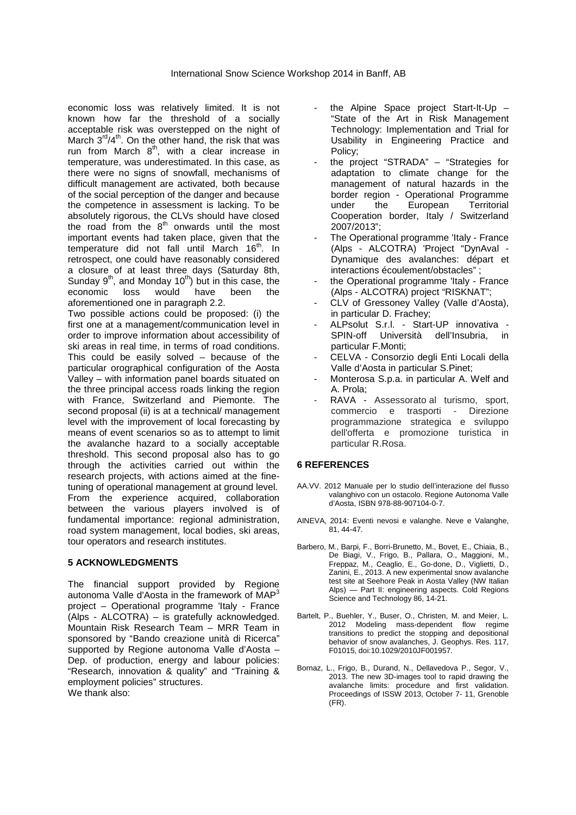economic loss was relatively limited. It is not known how far the threshold of a socially acceptable risk was overstepped on the night of March  $3^{rd}/4^{th}$ . On the other hand, the risk that was run from March  $8<sup>th</sup>$ , with a clear increase in temperature, was underestimated. In this case, as there were no signs of snowfall, mechanisms of difficult management are activated, both because of the social perception of the danger and because the competence in assessment is lacking. To be absolutely rigorous, the CLVs should have closed the road from the  $8<sup>th</sup>$  onwards until the most important events had taken place, given that the temperature did not fall until March 16<sup>th</sup>. In retrospect, one could have reasonably considered a closure of at least three days (Saturday 8th, Sunday  $9<sup>th</sup>$ , and Monday 10<sup>th</sup>) but in this case, the economic loss would have been the aforementioned one in paragraph 2.2.

Two possible actions could be proposed: (i) the first one at a management/communication level in order to improve information about accessibility of ski areas in real time, in terms of road conditions. This could be easily solved – because of the particular orographical configuration of the Aosta Valley – with information panel boards situated on the three principal access roads linking the region with France, Switzerland and Piemonte. The second proposal (ii) is at a technical/ management level with the improvement of local forecasting by means of event scenarios so as to attempt to limit the avalanche hazard to a socially acceptable threshold. This second proposal also has to go through the activities carried out within the research projects, with actions aimed at the finetuning of operational management at ground level. From the experience acquired, collaboration between the various players involved is of fundamental importance: regional administration, road system management, local bodies, ski areas, tour operators and research institutes.

#### **5 ACKNOWLEDGMENTS**

The financial support provided by Regione autonoma Valle d'Aosta in the framework of MAP<sup>3</sup> project – Operational programme 'Italy - France (Alps - ALCOTRA) – is gratefully acknowledged. Mountain Risk Research Team – MRR Team in sponsored by "Bando creazione unità di Ricerca" supported by Regione autonoma Valle d'Aosta – Dep. of production, energy and labour policies: "Research, innovation & quality" and "Training & employment policies" structures. We thank also:

- the Alpine Space project Start-It-Up -"State of the Art in Risk Management Technology: Implementation and Trial for Usability in Engineering Practice and Policy;
- the project "STRADA" "Strategies for adaptation to climate change for the management of natural hazards in the border region - Operational Programme under the European Territorial Cooperation border, Italy / Switzerland 2007/2013";
- The Operational programme 'Italy France (Alps - ALCOTRA) 'Project "DynAval - Dynamique des avalanches: départ et interactions écoulement/obstacles" ;
- the Operational programme 'Italy France (Alps - ALCOTRA) project "RISKNAT";
- CLV of Gressoney Valley (Valle d'Aosta), in particular D. Frachey;
- ALPsolut S.r.l. Start-UP innovativa SPIN-off Università dell'Insubria, in particular F.Monti;
- CELVA Consorzio degli Enti Locali della Valle d'Aosta in particular S.Pinet;
- Monterosa S.p.a. in particular A. Welf and A. Prola;
- RAVA Assessorato al turismo, sport, commercio e trasporti - Direzione programmazione strategica e sviluppo dell'offerta e promozione turistica in particular R.Rosa.

# **6 REFERENCES**

- AA.VV. 2012 Manuale per lo studio dell'interazione del flusso valanghivo con un ostacolo. Regione Autonoma Valle d'Aosta, ISBN 978-88-907104-0-7.
- AINEVA, 2014: Eventi nevosi e valanghe. Neve e Valanghe, 81, 44-47.
- Barbero, M., Barpi, F., Borri-Brunetto, M., Bovet, E., Chiaia, B., De Biagi, V., Frigo, B., Pallara, O., Maggioni, M., Freppaz, M., Ceaglio, E., Go-done, D., Viglietti, D., Zanini, E., 2013. A new experimental snow avalanche test site at Seehore Peak in Aosta Valley (NW Italian Alps) — Part II: engineering aspects. Cold Regions Science and Technology 86, 14-21.
- Bartelt, P., Buehler, Y., Buser, O., Christen, M. and Meier, L. 2012 Modeling mass-dependent flow regime transitions to predict the stopping and depositional behavior of snow avalanches, J. Geophys. Res. 117, F01015, doi:10.1029/2010JF001957.
- Bornaz, L., Frigo, B., Durand, N., Dellavedova P., Segor, V., 2013. The new 3D-images tool to rapid drawing the avalanche limits: procedure and first validation. Proceedings of ISSW 2013, October 7- 11, Grenoble (FR).